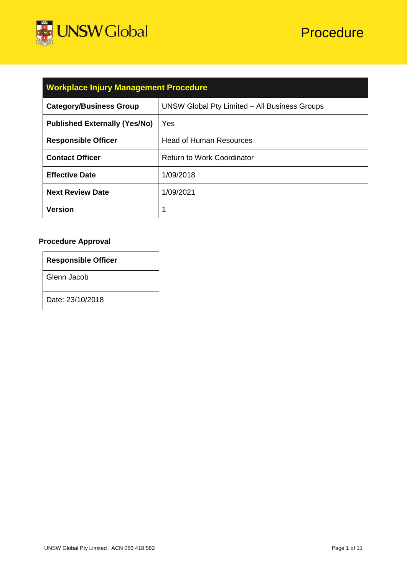

| <b>Workplace Injury Management Procedure</b> |                                               |  |
|----------------------------------------------|-----------------------------------------------|--|
| <b>Category/Business Group</b>               | UNSW Global Pty Limited - All Business Groups |  |
| <b>Published Externally (Yes/No)</b>         | Yes                                           |  |
| <b>Responsible Officer</b>                   | <b>Head of Human Resources</b>                |  |
| <b>Contact Officer</b>                       | <b>Return to Work Coordinator</b>             |  |
| <b>Effective Date</b>                        | 1/09/2018                                     |  |

# **Procedure Approval**

| <b>Responsible Officer</b> |  |  |
|----------------------------|--|--|
| Glenn Jacob                |  |  |
| Date: 23/10/2018           |  |  |

**Next Review Date** | 1/09/2021

**Version** 1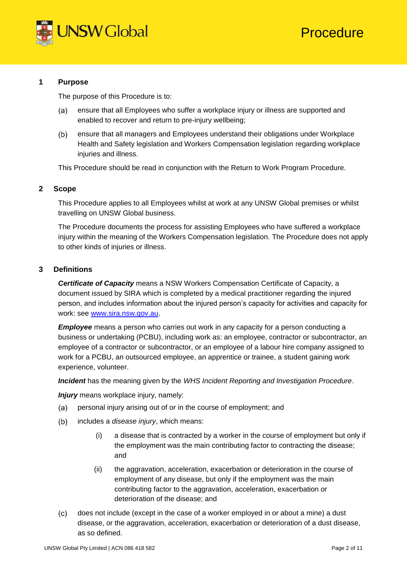

## **1 Purpose**

The purpose of this Procedure is to:

- $(a)$ ensure that all Employees who suffer a workplace injury or illness are supported and enabled to recover and return to pre-injury wellbeing;
- ensure that all managers and Employees understand their obligations under Workplace  $(b)$ Health and Safety legislation and Workers Compensation legislation regarding workplace injuries and illness.

This Procedure should be read in conjunction with the Return to Work Program Procedure.

#### **2 Scope**

This Procedure applies to all Employees whilst at work at any UNSW Global premises or whilst travelling on UNSW Global business.

The Procedure documents the process for assisting Employees who have suffered a workplace injury within the meaning of the Workers Compensation legislation. The Procedure does not apply to other kinds of injuries or illness.

### **3 Definitions**

*Certificate of Capacity* means a NSW Workers Compensation Certificate of Capacity, a document issued by SIRA which is completed by a medical practitioner regarding the injured person, and includes information about the injured person's capacity for activities and capacity for work: see [www.sira.nsw.gov.au.](http://www.sira.nsw.gov.au/)

*Employee* means a person who carries out work in any capacity for a person conducting a business or undertaking (PCBU), including work as: an employee, contractor or subcontractor, an employee of a contractor or subcontractor, or an employee of a labour hire company assigned to work for a PCBU, an outsourced employee, an apprentice or trainee, a student gaining work experience, volunteer.

*Incident* has the meaning given by the *WHS Incident Reporting and Investigation Procedure*.

*Injury* means workplace injury, namely:

- personal injury arising out of or in the course of employment; and  $(a)$
- includes a *disease injury*, which means:  $(b)$ 
	- (i) a disease that is contracted by a worker in the course of employment but only if the employment was the main contributing factor to contracting the disease; and
	- (ii) the aggravation, acceleration, exacerbation or deterioration in the course of employment of any disease, but only if the employment was the main contributing factor to the aggravation, acceleration, exacerbation or deterioration of the disease; and
- $(c)$ does not include (except in the case of a worker employed in or about a mine) a dust disease, or the aggravation, acceleration, exacerbation or deterioration of a dust disease, as so defined.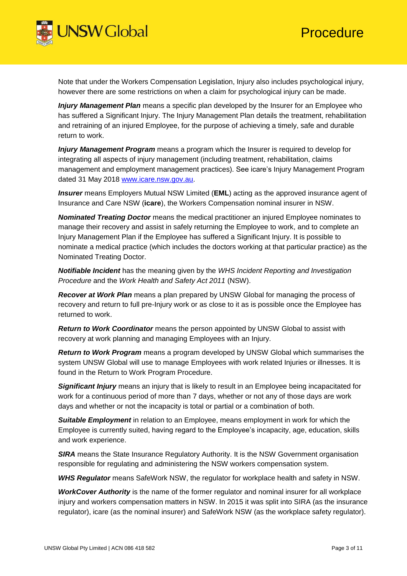

Note that under the Workers Compensation Legislation, Injury also includes psychological injury, however there are some restrictions on when a claim for psychological injury can be made.

*Injury Management Plan* means a specific plan developed by the Insurer for an Employee who has suffered a Significant Injury. The Injury Management Plan details the treatment, rehabilitation and retraining of an injured Employee, for the purpose of achieving a timely, safe and durable return to work.

*Injury Management Program* means a program which the Insurer is required to develop for integrating all aspects of injury management (including treatment, rehabilitation, claims management and employment management practices). See icare's Injury Management Program dated 31 May 2018 [www.icare.nsw.gov.au.](http://www.icare.nsw.gov.au/)

*Insurer* means Employers Mutual NSW Limited (**EML**) acting as the approved insurance agent of Insurance and Care NSW (**icare**), the Workers Compensation nominal insurer in NSW.

*Nominated Treating Doctor* means the medical practitioner an injured Employee nominates to manage their recovery and assist in safely returning the Employee to work, and to complete an Injury Management Plan if the Employee has suffered a Significant Injury. It is possible to nominate a medical practice (which includes the doctors working at that particular practice) as the Nominated Treating Doctor.

*Notifiable Incident* has the meaning given by the *WHS Incident Reporting and Investigation Procedure* and the *Work Health and Safety Act 2011* (NSW).

*Recover at Work Plan* means a plan prepared by UNSW Global for managing the process of recovery and return to full pre-Injury work or as close to it as is possible once the Employee has returned to work.

*Return to Work Coordinator* means the person appointed by UNSW Global to assist with recovery at work planning and managing Employees with an Injury.

*Return to Work Program* means a program developed by UNSW Global which summarises the system UNSW Global will use to manage Employees with work related Injuries or illnesses. It is found in the Return to Work Program Procedure.

*Significant Injury* means an injury that is likely to result in an Employee being incapacitated for work for a continuous period of more than 7 days, whether or not any of those days are work days and whether or not the incapacity is total or partial or a combination of both.

**Suitable Employment** in relation to an Employee, means employment in work for which the Employee is currently suited, having regard to the Employee's incapacity, age, education, skills and work experience.

**SIRA** means the State Insurance Regulatory Authority. It is the NSW Government organisation responsible for regulating and administering the NSW workers compensation system.

*WHS Regulator* means SafeWork NSW, the regulator for workplace health and safety in NSW.

*WorkCover Authority* is the name of the former regulator and nominal insurer for all workplace injury and workers compensation matters in NSW. In 2015 it was split into SIRA (as the insurance regulator), icare (as the nominal insurer) and SafeWork NSW (as the workplace safety regulator).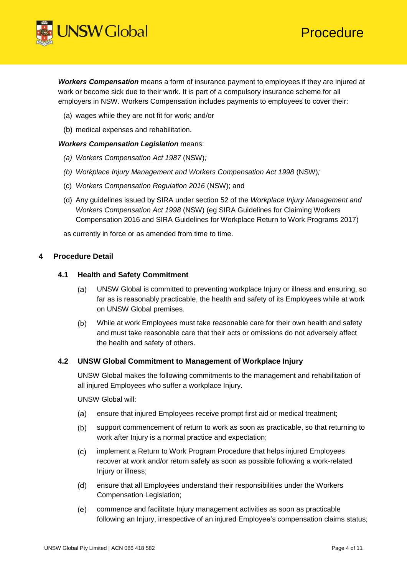

*Workers Compensation* means a form of insurance payment to employees if they are injured at work or become sick due to their work. It is part of a compulsory insurance scheme for all employers in NSW. Workers Compensation includes payments to employees to cover their:

- (a) wages while they are not fit for work; and/or
- (b) medical expenses and rehabilitation.

#### *Workers Compensation Legislation* means:

- *(a) Workers Compensation Act 1987* (NSW)*;*
- *(b) Workplace Injury Management and Workers Compensation Act 1998* (NSW)*;*
- (c) *Workers Compensation Regulation 2016* (NSW); and
- (d) Any guidelines issued by SIRA under section 52 of the *Workplace Injury Management and Workers Compensation Act 1998* (NSW) (eg SIRA Guidelines for Claiming Workers Compensation 2016 and SIRA Guidelines for Workplace Return to Work Programs 2017)

as currently in force or as amended from time to time.

### **4 Procedure Detail**

### **4.1 Health and Safety Commitment**

- UNSW Global is committed to preventing workplace Injury or illness and ensuring, so  $(a)$ far as is reasonably practicable, the health and safety of its Employees while at work on UNSW Global premises.
- $(b)$ While at work Employees must take reasonable care for their own health and safety and must take reasonable care that their acts or omissions do not adversely affect the health and safety of others.

### **4.2 UNSW Global Commitment to Management of Workplace Injury**

UNSW Global makes the following commitments to the management and rehabilitation of all injured Employees who suffer a workplace Injury.

UNSW Global will:

- ensure that injured Employees receive prompt first aid or medical treatment; (a)
- $(b)$ support commencement of return to work as soon as practicable, so that returning to work after Injury is a normal practice and expectation;
- $(c)$ implement a Return to Work Program Procedure that helps injured Employees recover at work and/or return safely as soon as possible following a work-related Injury or illness;
- ensure that all Employees understand their responsibilities under the Workers  $(d)$ Compensation Legislation;
- $(e)$ commence and facilitate Injury management activities as soon as practicable following an Injury, irrespective of an injured Employee's compensation claims status;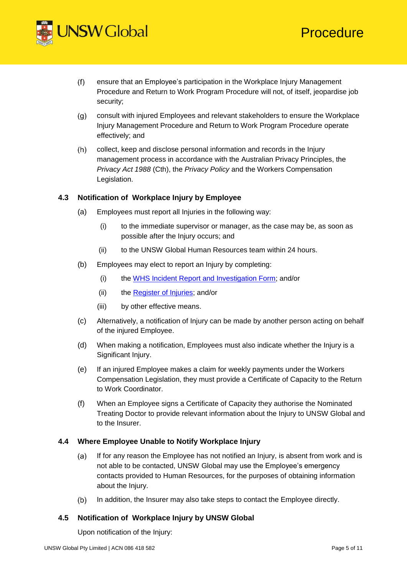



- $(f)$ ensure that an Employee's participation in the Workplace Injury Management Procedure and Return to Work Program Procedure will not, of itself, jeopardise job security;
- consult with injured Employees and relevant stakeholders to ensure the Workplace  $(g)$ Injury Management Procedure and Return to Work Program Procedure operate effectively; and
- collect, keep and disclose personal information and records in the Injury  $(h)$ management process in accordance with the Australian Privacy Principles, the *Privacy Act 1988* (Cth), the *Privacy Policy* and the Workers Compensation Legislation.

## **4.3 Notification of Workplace Injury by Employee**

- (a) Employees must report all Injuries in the following way:
	- (i) to the immediate supervisor or manager, as the case may be, as soon as possible after the Injury occurs; and
	- (ii) to the UNSW Global Human Resources team within 24 hours.
- (b) Employees may elect to report an Injury by completing:
	- (i) the [WHS Incident Report and Investigation Form;](https://intranet.unswglobal.unsw.edu.au/Policy/Forms/Forms/AllItems.aspx?forms=W) and/or
	- (ii) the [Register of Injuries;](https://intranet.unswglobal.unsw.edu.au/Policy/Forms/Forms/AllItems.aspx?forms=R) and/or
	- (iii) by other effective means.
- (c) Alternatively, a notification of Injury can be made by another person acting on behalf of the injured Employee.
- (d) When making a notification, Employees must also indicate whether the Injury is a Significant Injury.
- (e) If an injured Employee makes a claim for weekly payments under the Workers Compensation Legislation, they must provide a Certificate of Capacity to the Return to Work Coordinator.
- (f) When an Employee signs a Certificate of Capacity they authorise the Nominated Treating Doctor to provide relevant information about the Injury to UNSW Global and to the Insurer.

### **4.4 Where Employee Unable to Notify Workplace Injury**

- $(a)$ If for any reason the Employee has not notified an Injury, is absent from work and is not able to be contacted, UNSW Global may use the Employee's emergency contacts provided to Human Resources, for the purposes of obtaining information about the Injury.
- In addition, the Insurer may also take steps to contact the Employee directly.  $(b)$

### **4.5 Notification of Workplace Injury by UNSW Global**

Upon notification of the Injury: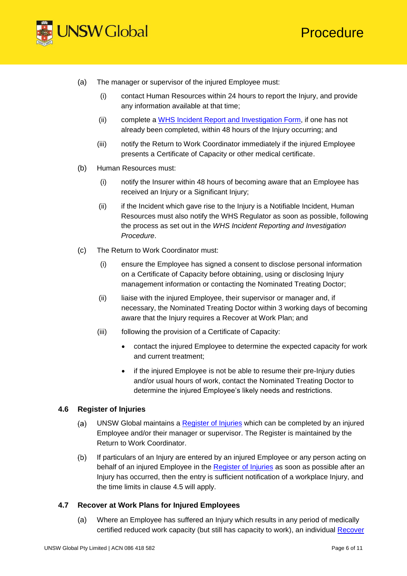



- (a) The manager or supervisor of the injured Employee must:
	- (i) contact Human Resources within 24 hours to report the Injury, and provide any information available at that time;
	- (ii) complete a WHS [Incident Report and Investigation Form,](https://intranet.unswglobal.unsw.edu.au/Policy/Forms/Forms/AllItems.aspx?forms=W) if one has not already been completed, within 48 hours of the Injury occurring; and
	- (iii) notify the Return to Work Coordinator immediately if the injured Employee presents a Certificate of Capacity or other medical certificate.
- (b) Human Resources must:
	- (i) notify the Insurer within 48 hours of becoming aware that an Employee has received an Injury or a Significant Injury:
	- (ii) if the Incident which gave rise to the Injury is a Notifiable Incident, Human Resources must also notify the WHS Regulator as soon as possible, following the process as set out in the *WHS Incident Reporting and Investigation Procedure*.
- (c) The Return to Work Coordinator must:
	- (i) ensure the Employee has signed a consent to disclose personal information on a Certificate of Capacity before obtaining, using or disclosing Injury management information or contacting the Nominated Treating Doctor;
	- (ii) liaise with the injured Employee, their supervisor or manager and, if necessary, the Nominated Treating Doctor within 3 working days of becoming aware that the Injury requires a Recover at Work Plan; and
	- (iii) following the provision of a Certificate of Capacity:
		- contact the injured Employee to determine the expected capacity for work and current treatment;
		- if the injured Employee is not be able to resume their pre-Injury duties and/or usual hours of work, contact the Nominated Treating Doctor to determine the injured Employee's likely needs and restrictions.

## **4.6 Register of Injuries**

- UNSW Global maintains a [Register of Injuries](https://intranet.unswglobal.unsw.edu.au/Policy/Forms/Forms/AllItems.aspx?forms=R) which can be completed by an injured  $(a)$ Employee and/or their manager or supervisor. The Register is maintained by the Return to Work Coordinator.
- If particulars of an Injury are entered by an injured Employee or any person acting on  $(b)$ behalf of an injured Employee in the [Register of Injuries](https://intranet.unswglobal.unsw.edu.au/Policy/Forms/Forms/AllItems.aspx?forms=R) as soon as possible after an Injury has occurred, then the entry is sufficient notification of a workplace Injury, and the time limits in clause 4.5 will apply.

### **4.7 Recover at Work Plans for Injured Employees**

(a) Where an Employee has suffered an Injury which results in any period of medically certified reduced work capacity (but still has capacity to work), an individual [Recover](https://intranet.unswglobal.unsw.edu.au/Policy/Forms/Forms/AllItems.aspx?forms=R)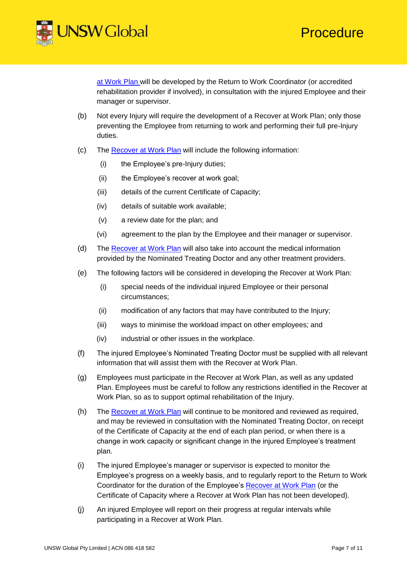

[at Work Plan w](https://intranet.unswglobal.unsw.edu.au/Policy/Forms/Forms/AllItems.aspx?forms=R)ill be developed by the Return to Work Coordinator (or accredited rehabilitation provider if involved), in consultation with the injured Employee and their manager or supervisor.

- (b) Not every Injury will require the development of a Recover at Work Plan; only those preventing the Employee from returning to work and performing their full pre-Injury duties.
- (c) The [Recover at Work Plan](https://intranet.unswglobal.unsw.edu.au/Policy/Forms/Forms/AllItems.aspx?forms=R) will include the following information:
	- (i) the Employee's pre-Injury duties;
	- (ii) the Employee's recover at work goal;
	- (iii) details of the current Certificate of Capacity;
	- (iv) details of suitable work available;
	- (v) a review date for the plan; and
	- (vi) agreement to the plan by the Employee and their manager or supervisor.
- (d) The [Recover at Work Plan](https://intranet.unswglobal.unsw.edu.au/Policy/Forms/Forms/AllItems.aspx?forms=R) will also take into account the medical information provided by the Nominated Treating Doctor and any other treatment providers.
- (e) The following factors will be considered in developing the Recover at Work Plan:
	- (i) special needs of the individual injured Employee or their personal circumstances;
	- (ii) modification of any factors that may have contributed to the Injury;
	- (iii) ways to minimise the workload impact on other employees; and
	- (iv) industrial or other issues in the workplace.
- (f) The injured Employee's Nominated Treating Doctor must be supplied with all relevant information that will assist them with the Recover at Work Plan.
- (g) Employees must participate in the Recover at Work Plan, as well as any updated Plan. Employees must be careful to follow any restrictions identified in the Recover at Work Plan, so as to support optimal rehabilitation of the Injury.
- (h) The [Recover at Work Plan](https://intranet.unswglobal.unsw.edu.au/Policy/Forms/Forms/AllItems.aspx?forms=R) will continue to be monitored and reviewed as required, and may be reviewed in consultation with the Nominated Treating Doctor, on receipt of the Certificate of Capacity at the end of each plan period, or when there is a change in work capacity or significant change in the injured Employee's treatment plan.
- (i) The injured Employee's manager or supervisor is expected to monitor the Employee's progress on a weekly basis, and to regularly report to the Return to Work Coordinator for the duration of the Employee's [Recover at Work Plan](https://intranet.unswglobal.unsw.edu.au/Policy/Forms/Forms/AllItems.aspx?forms=R) (or the Certificate of Capacity where a Recover at Work Plan has not been developed).
- (j) An injured Employee will report on their progress at regular intervals while participating in a Recover at Work Plan.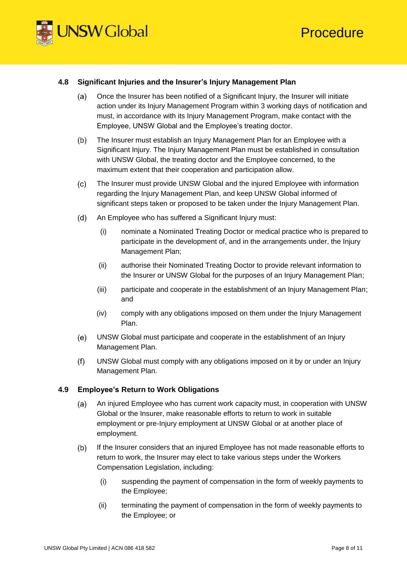



## **4.8 Significant Injuries and the Insurer's Injury Management Plan**

- Once the Insurer has been notified of a Significant Injury, the Insurer will initiate  $(a)$ action under its Injury Management Program within 3 working days of notification and must, in accordance with its Injury Management Program, make contact with the Employee, UNSW Global and the Employee's treating doctor.
- $(b)$ The Insurer must establish an Injury Management Plan for an Employee with a Significant Injury. The Injury Management Plan must be established in consultation with UNSW Global, the treating doctor and the Employee concerned, to the maximum extent that their cooperation and participation allow.
- $(c)$ The Insurer must provide UNSW Global and the injured Employee with information regarding the Injury Management Plan, and keep UNSW Global informed of significant steps taken or proposed to be taken under the Injury Management Plan.
- $(d)$ An Employee who has suffered a Significant Injury must:
	- (i) nominate a Nominated Treating Doctor or medical practice who is prepared to participate in the development of, and in the arrangements under, the Injury Management Plan;
	- (ii) authorise their Nominated Treating Doctor to provide relevant information to the Insurer or UNSW Global for the purposes of an Injury Management Plan;
	- (iii) participate and cooperate in the establishment of an Injury Management Plan; and
	- (iv) comply with any obligations imposed on them under the Injury Management Plan.
- $(e)$ UNSW Global must participate and cooperate in the establishment of an Injury Management Plan.
- UNSW Global must comply with any obligations imposed on it by or under an Injury  $(f)$ Management Plan.

### **4.9 Employee's Return to Work Obligations**

- $(a)$ An injured Employee who has current work capacity must, in cooperation with UNSW Global or the Insurer, make reasonable efforts to return to work in suitable employment or pre-Injury employment at UNSW Global or at another place of employment.
- $(b)$ If the Insurer considers that an injured Employee has not made reasonable efforts to return to work, the Insurer may elect to take various steps under the Workers Compensation Legislation, including:
	- (i) suspending the payment of compensation in the form of weekly payments to the Employee;
	- (ii) terminating the payment of compensation in the form of weekly payments to the Employee; or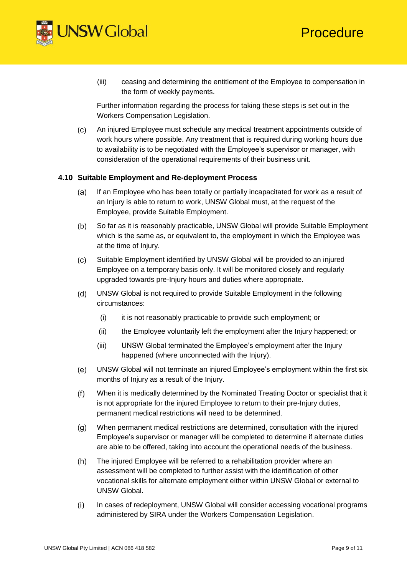

(iii) ceasing and determining the entitlement of the Employee to compensation in the form of weekly payments.

Further information regarding the process for taking these steps is set out in the Workers Compensation Legislation.

An injured Employee must schedule any medical treatment appointments outside of  $(c)$ work hours where possible. Any treatment that is required during working hours due to availability is to be negotiated with the Employee's supervisor or manager, with consideration of the operational requirements of their business unit.

## **4.10 Suitable Employment and Re-deployment Process**

- If an Employee who has been totally or partially incapacitated for work as a result of  $(a)$ an Injury is able to return to work, UNSW Global must, at the request of the Employee, provide Suitable Employment.
- $(b)$ So far as it is reasonably practicable, UNSW Global will provide Suitable Employment which is the same as, or equivalent to, the employment in which the Employee was at the time of Injury.
- Suitable Employment identified by UNSW Global will be provided to an injured  $(c)$ Employee on a temporary basis only. It will be monitored closely and regularly upgraded towards pre-Injury hours and duties where appropriate.
- $(d)$ UNSW Global is not required to provide Suitable Employment in the following circumstances:
	- (i) it is not reasonably practicable to provide such employment; or
	- (ii) the Employee voluntarily left the employment after the Injury happened; or
	- (iii) UNSW Global terminated the Employee's employment after the Injury happened (where unconnected with the Injury).
- $(e)$ UNSW Global will not terminate an injured Employee's employment within the first six months of Injury as a result of the Injury.
- $(f)$ When it is medically determined by the Nominated Treating Doctor or specialist that it is not appropriate for the injured Employee to return to their pre-Injury duties, permanent medical restrictions will need to be determined.
- When permanent medical restrictions are determined, consultation with the injured  $(q)$ Employee's supervisor or manager will be completed to determine if alternate duties are able to be offered, taking into account the operational needs of the business.
- $(h)$ The injured Employee will be referred to a rehabilitation provider where an assessment will be completed to further assist with the identification of other vocational skills for alternate employment either within UNSW Global or external to UNSW Global.
- $(i)$ In cases of redeployment, UNSW Global will consider accessing vocational programs administered by SIRA under the Workers Compensation Legislation.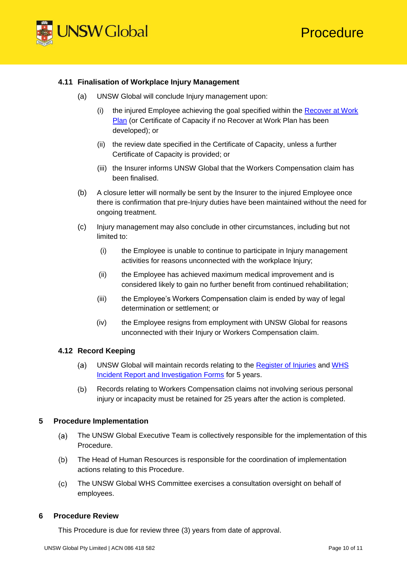

### **4.11 Finalisation of Workplace Injury Management**

- (a) UNSW Global will conclude Injury management upon:
	- (i) the injured Employee achieving the goal specified within the [Recover at Work](https://intranet.unswglobal.unsw.edu.au/Policy/Forms/Forms/AllItems.aspx?forms=R)  [Plan](https://intranet.unswglobal.unsw.edu.au/Policy/Forms/Forms/AllItems.aspx?forms=R) (or Certificate of Capacity if no Recover at Work Plan has been developed); or
	- (ii) the review date specified in the Certificate of Capacity, unless a further Certificate of Capacity is provided; or
	- (iii) the Insurer informs UNSW Global that the Workers Compensation claim has been finalised.
- (b) A closure letter will normally be sent by the Insurer to the injured Employee once there is confirmation that pre-Injury duties have been maintained without the need for ongoing treatment.
- (c) Injury management may also conclude in other circumstances, including but not limited to:
	- (i) the Employee is unable to continue to participate in Injury management activities for reasons unconnected with the workplace Injury;
	- (ii) the Employee has achieved maximum medical improvement and is considered likely to gain no further benefit from continued rehabilitation;
	- (iii) the Employee's Workers Compensation claim is ended by way of legal determination or settlement; or
	- (iv) the Employee resigns from employment with UNSW Global for reasons unconnected with their Injury or Workers Compensation claim.

### **4.12 Record Keeping**

- $(a)$ UNSW Global will maintain records relating to the [Register of Injuries](https://intranet.unswglobal.unsw.edu.au/Policy/Forms/Forms/AllItems.aspx?forms=R) and [WHS](https://intranet.unswglobal.unsw.edu.au/Policy/Forms/Forms/AllItems.aspx?forms=W)  [Incident Report and Investigation Forms](https://intranet.unswglobal.unsw.edu.au/Policy/Forms/Forms/AllItems.aspx?forms=W) for 5 years.
- Records relating to Workers Compensation claims not involving serious personal  $(b)$ injury or incapacity must be retained for 25 years after the action is completed.

### **5 Procedure Implementation**

- $(a)$ The UNSW Global Executive Team is collectively responsible for the implementation of this Procedure.
- The Head of Human Resources is responsible for the coordination of implementation  $(b)$ actions relating to this Procedure.
- $(c)$ The UNSW Global WHS Committee exercises a consultation oversight on behalf of employees.

### **6 Procedure Review**

This Procedure is due for review three (3) years from date of approval.